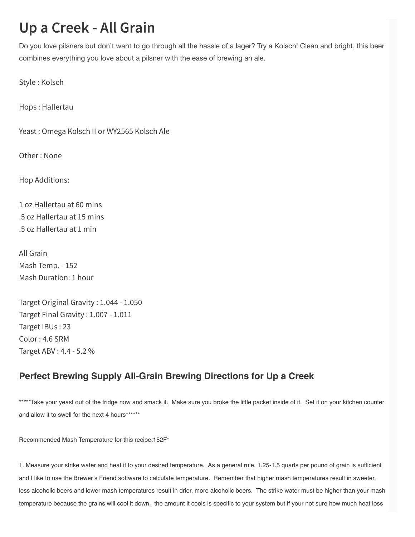## **Up a Creek - All Grain**

Do you love pilsners but don't want to go through all the hassle of a lager? Try a Kolsch! Clean and bright, this beer combines everything you love about a pilsner with the ease of brewing an ale.

Style : Kolsch

Hops : Hallertau

Yeast : Omega Kolsch II or WY2565 Kolsch Ale

Other : None

Hop Additions:

1 oz Hallertau at 60 mins .5 oz Hallertau at 15 mins .5 oz Hallertau at 1 min

All Grain Mash Temp. - 152 Mash Duration: 1 hour

Target Original Gravity : 1.044 - 1.050 Target Final Gravity : 1.007 - 1.011 Target IBUs : 23 Color : 4.6 SRM Target ABV : 4.4 - 5.2 %

## Perfect Brewing Supply All-Grain Brewing Directions for Up a Creek

\*\*\*\*\*Take your yeast out of the fridge now and smack it. Make sure you broke the little packet inside of it. Set it on your kitchen counter and allow it to swell for the next 4 hours\*\*\*\*\*\*

Recommended Mash Temperature for this recipe:152F\*

1. Measure your strike water and heat it to your desired temperature. As a general rule, 1.25-1.5 quarts per pound of grain is sufficient and I like to use the Brewer's Friend software to calculate temperature. Remember that higher mash temperatures result in sweeter, less alcoholic beers and lower mash temperatures result in drier, more alcoholic beers. The strike water must be higher than your mash temperature because the grains will cool it down, the amount it cools is specific to your system but if your not sure how much heat loss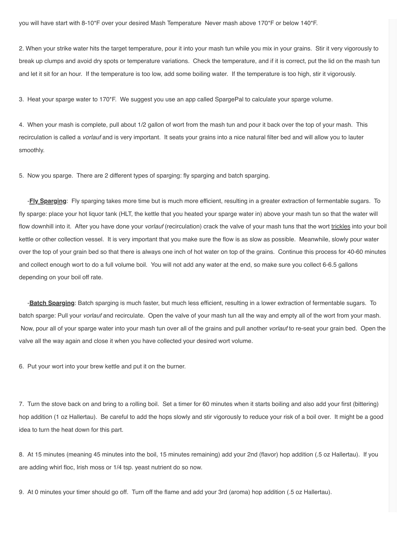2. When your strike water hits the target temperature, pour it into your mash tun while you mix in your grains. Stir it very vigorously to break up clumps and avoid dry spots or temperature variations. Check the temperature, and if it is correct, put the lid on the mash tun and let it sit for an hour. If the temperature is too low, add some boiling water. If the temperature is too high, stir it vigorously.

3. Heat your sparge water to 170\*F. We suggest you use an app called SpargePal to calculate your sparge volume.

4. When your mash is complete, pull about 1/2 gallon of wort from the mash tun and pour it back over the top of your mash. This recirculation is called a vorlauf and is very important. It seats your grains into a nice natural filter bed and will allow you to lauter smoothly.

5. Now you sparge. There are 2 different types of sparging: fly sparging and batch sparging.

-**Fly Sparging**: Fly sparging takes more time but is much more efficient, resulting in a greater extraction of fermentable sugars. To fly sparge: place your hot liquor tank (HLT, the kettle that you heated your sparge water in) above your mash tun so that the water will flow downhill into it. After you have done your vorlauf (recirculation) crack the valve of your mash tuns that the wort trickles into your boil kettle or other collection vessel. It is very important that you make sure the flow is as slow as possible. Meanwhile, slowly pour water over the top of your grain bed so that there is always one inch of hot water on top of the grains. Continue this process for 40-60 minutes and collect enough wort to do a full volume boil. You will not add any water at the end, so make sure you collect 6-6.5 gallons depending on your boil off rate.

-**Batch Sparging**: Batch sparging is much faster, but much less efficient, resulting in a lower extraction of fermentable sugars. To batch sparge: Pull your vorlauf and recirculate. Open the valve of your mash tun all the way and empty all of the wort from your mash. Now, pour all of your sparge water into your mash tun over all of the grains and pull another vorlauf to re-seat your grain bed. Open the valve all the way again and close it when you have collected your desired wort volume.

6. Put your wort into your brew kettle and put it on the burner.

7. Turn the stove back on and bring to a rolling boil. Set a timer for 60 minutes when it starts boiling and also add your first (bittering) hop addition (1 oz Hallertau). Be careful to add the hops slowly and stir vigorously to reduce your risk of a boil over. It might be a good idea to turn the heat down for this part.

8. At 15 minutes (meaning 45 minutes into the boil, 15 minutes remaining) add your 2nd (flavor) hop addition (.5 oz Hallertau). If you are adding whirl floc, Irish moss or 1/4 tsp. yeast nutrient do so now.

9. At 0 minutes your timer should go off. Turn off the flame and add your 3rd (aroma) hop addition (.5 oz Hallertau).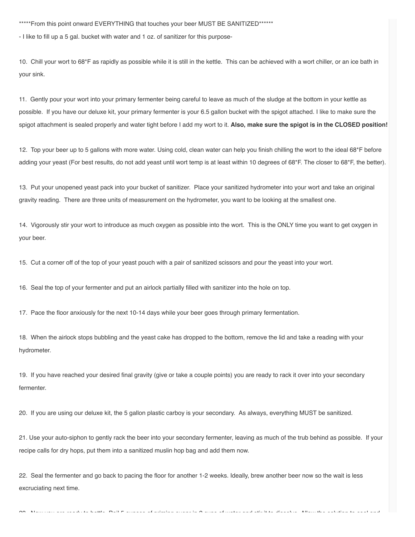\*\*\*\*\*From this point onward EVERYTHING that touches your beer MUST BE SANITIZED\*\*\*\*\*\*

- I like to fill up a 5 gal. bucket with water and 1 oz. of sanitizer for this purpose-

10. Chill your wort to 68\*F as rapidly as possible while it is still in the kettle. This can be achieved with a wort chiller, or an ice bath in your sink.

11. Gently pour your wort into your primary fermenter being careful to leave as much of the sludge at the bottom in your kettle as possible. If you have our deluxe kit, your primary fermenter is your 6.5 gallon bucket with the spigot attached. I like to make sure the spigot attachment is sealed properly and water tight before I add my wort to it. Also, make sure the spigot is in the CLOSED position!

12. Top your beer up to 5 gallons with more water. Using cold, clean water can help you finish chilling the wort to the ideal 68\*F before adding your yeast (For best results, do not add yeast until wort temp is at least within 10 degrees of 68\*F. The closer to 68\*F, the better).

13. Put your unopened yeast pack into your bucket of sanitizer. Place your sanitized hydrometer into your wort and take an original gravity reading. There are three units of measurement on the hydrometer, you want to be looking at the smallest one.

14. Vigorously stir your wort to introduce as much oxygen as possible into the wort. This is the ONLY time you want to get oxygen in your beer.

15. Cut a corner off of the top of your yeast pouch with a pair of sanitized scissors and pour the yeast into your wort.

16. Seal the top of your fermenter and put an airlock partially filled with sanitizer into the hole on top.

17. Pace the floor anxiously for the next 10-14 days while your beer goes through primary fermentation.

18. When the airlock stops bubbling and the yeast cake has dropped to the bottom, remove the lid and take a reading with your hydrometer.

19. If you have reached your desired final gravity (give or take a couple points) you are ready to rack it over into your secondary fermenter.

20. If you are using our deluxe kit, the 5 gallon plastic carboy is your secondary. As always, everything MUST be sanitized.

21. Use your auto-siphon to gently rack the beer into your secondary fermenter, leaving as much of the trub behind as possible. If your recipe calls for dry hops, put them into a sanitized muslin hop bag and add them now.

 $\Delta$ 3 Now you are ready to bottle Boil 5 our case of which was sugared in  $\Delta$  ounce of water and stirling to the solution to cool and solve  $\Delta$ 

22. Seal the fermenter and go back to pacing the floor for another 1-2 weeks. Ideally, brew another beer now so the wait is less excruciating next time.